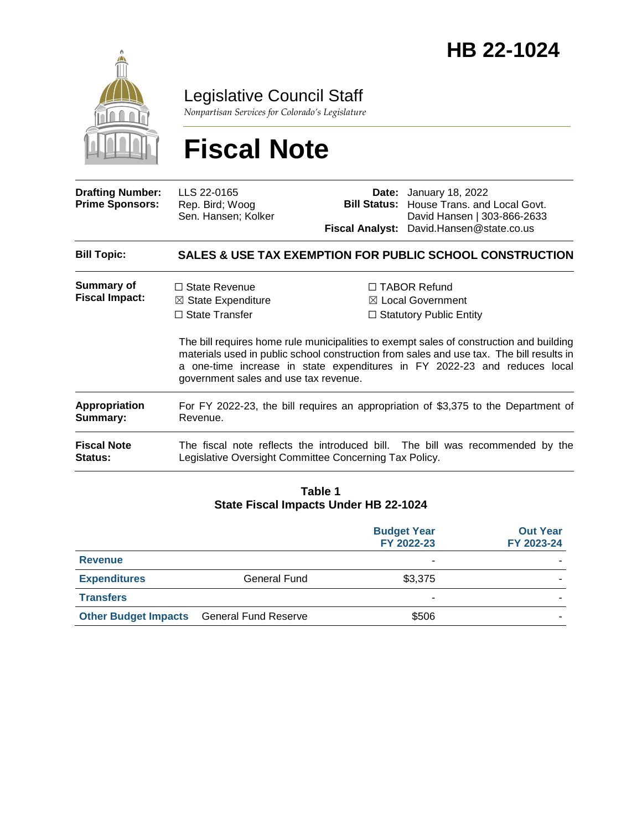

Legislative Council Staff

*Nonpartisan Services for Colorado's Legislature*

# **Fiscal Note**

| <b>Drafting Number:</b><br><b>Prime Sponsors:</b> | LLS 22-0165<br>Rep. Bird; Woog<br>Sen. Hansen; Kolker                                                                                                                                                                                                                                                     |  | <b>Date:</b> January 18, 2022<br><b>Bill Status:</b> House Trans. and Local Govt.<br>David Hansen   303-866-2633 |  |
|---------------------------------------------------|-----------------------------------------------------------------------------------------------------------------------------------------------------------------------------------------------------------------------------------------------------------------------------------------------------------|--|------------------------------------------------------------------------------------------------------------------|--|
|                                                   |                                                                                                                                                                                                                                                                                                           |  | Fiscal Analyst: David.Hansen@state.co.us                                                                         |  |
| <b>Bill Topic:</b>                                |                                                                                                                                                                                                                                                                                                           |  | <b>SALES &amp; USE TAX EXEMPTION FOR PUBLIC SCHOOL CONSTRUCTION</b>                                              |  |
| <b>Summary of</b><br><b>Fiscal Impact:</b>        | $\Box$ State Revenue                                                                                                                                                                                                                                                                                      |  | $\Box$ TABOR Refund                                                                                              |  |
|                                                   | $\boxtimes$ State Expenditure<br>$\Box$ State Transfer                                                                                                                                                                                                                                                    |  | $\boxtimes$ Local Government<br>$\Box$ Statutory Public Entity                                                   |  |
|                                                   | The bill requires home rule municipalities to exempt sales of construction and building<br>materials used in public school construction from sales and use tax. The bill results in<br>a one-time increase in state expenditures in FY 2022-23 and reduces local<br>government sales and use tax revenue. |  |                                                                                                                  |  |
| Appropriation<br>Summary:                         | For FY 2022-23, the bill requires an appropriation of \$3,375 to the Department of<br>Revenue.                                                                                                                                                                                                            |  |                                                                                                                  |  |
| <b>Fiscal Note</b><br><b>Status:</b>              | The fiscal note reflects the introduced bill. The bill was recommended by the<br>Legislative Oversight Committee Concerning Tax Policy.                                                                                                                                                                   |  |                                                                                                                  |  |

#### **Table 1 State Fiscal Impacts Under HB 22-1024**

|                             |                             | <b>Budget Year</b><br>FY 2022-23 | <b>Out Year</b><br>FY 2023-24 |
|-----------------------------|-----------------------------|----------------------------------|-------------------------------|
| <b>Revenue</b>              |                             | ۰                                |                               |
| <b>Expenditures</b>         | <b>General Fund</b>         | \$3,375                          |                               |
| <b>Transfers</b>            |                             | ۰                                |                               |
| <b>Other Budget Impacts</b> | <b>General Fund Reserve</b> | \$506                            |                               |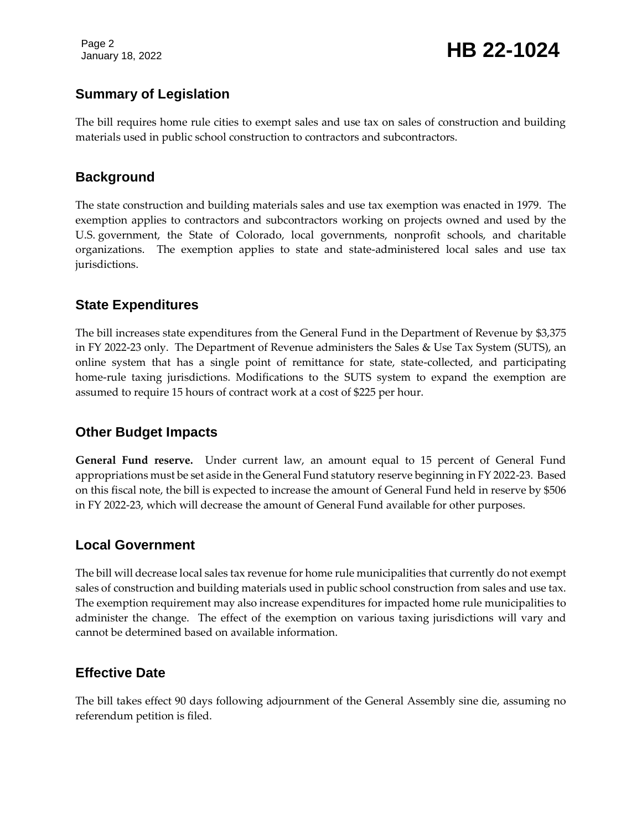Page 2

# January 18, 2022 **HB 22-1024**

## **Summary of Legislation**

The bill requires home rule cities to exempt sales and use tax on sales of construction and building materials used in public school construction to contractors and subcontractors.

#### **Background**

The state construction and building materials sales and use tax exemption was enacted in 1979. The exemption applies to contractors and subcontractors working on projects owned and used by the U.S. government, the State of Colorado, local governments, nonprofit schools, and charitable organizations. The exemption applies to state and state-administered local sales and use tax jurisdictions.

## **State Expenditures**

The bill increases state expenditures from the General Fund in the Department of Revenue by \$3,375 in FY 2022-23 only. The Department of Revenue administers the Sales & Use Tax System (SUTS), an online system that has a single point of remittance for state, state-collected, and participating home-rule taxing jurisdictions. Modifications to the SUTS system to expand the exemption are assumed to require 15 hours of contract work at a cost of \$225 per hour.

## **Other Budget Impacts**

**General Fund reserve.** Under current law, an amount equal to 15 percent of General Fund appropriations must be set aside in the General Fund statutory reserve beginning in FY 2022-23. Based on this fiscal note, the bill is expected to increase the amount of General Fund held in reserve by \$506 in FY 2022-23, which will decrease the amount of General Fund available for other purposes.

#### **Local Government**

The bill will decrease local sales tax revenue for home rule municipalities that currently do not exempt sales of construction and building materials used in public school construction from sales and use tax. The exemption requirement may also increase expenditures for impacted home rule municipalities to administer the change. The effect of the exemption on various taxing jurisdictions will vary and cannot be determined based on available information.

## **Effective Date**

The bill takes effect 90 days following adjournment of the General Assembly sine die, assuming no referendum petition is filed.